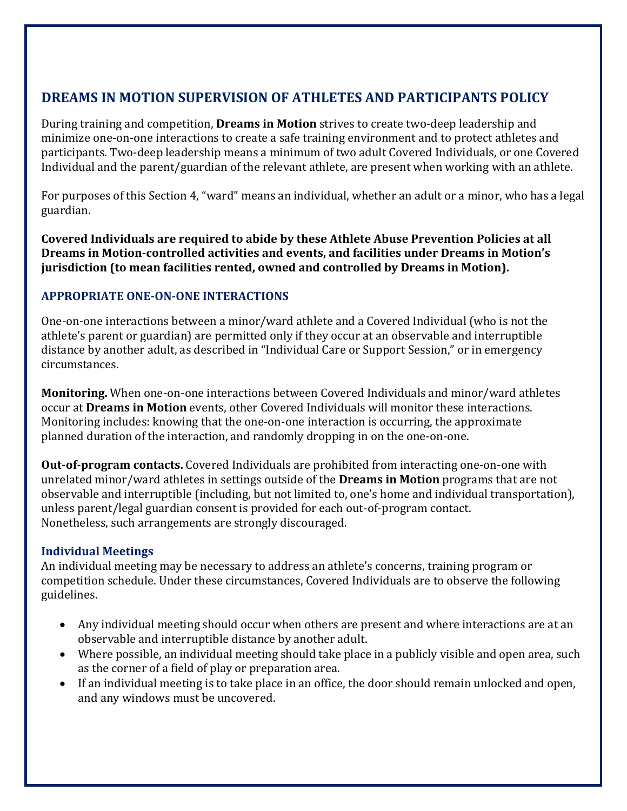# **DREAMS IN MOTION SUPERVISION OF ATHLETES AND PARTICIPANTS POLICY**

During training and competition, **Dreams in Motion** strives to create two‐deep leadership and minimize one‐on‐one interactions to create a safe training environment and to protect athletes and participants. Two‐deep leadership means a minimum of two adult Covered Individuals, or one Covered Individual and the parent/guardian of the relevant athlete, are present when working with an athlete.

For purposes of this Section 4, "ward" means an individual, whether an adult or a minor, who has a legal guardian.

**Covered Individuals are required to abide by these Athlete Abuse Prevention Policies at all Dreams in Motion‐controlled activities and events, and facilities under Dreams in Motion's jurisdiction (to mean facilities rented, owned and controlled by Dreams in Motion).**

# **APPROPRIATE ONE‐ON‐ONE INTERACTIONS**

One‐on‐one interactions between a minor/ward athlete and a Covered Individual (who is not the athlete's parent or guardian) are permitted only if they occur at an observable and interruptible distance by another adult, as described in "Individual Care or Support Session," or in emergency circumstances.

**Monitoring.** When one‐on‐one interactions between Covered Individuals and minor/ward athletes occur at **Dreams in Motion** events, other Covered Individuals will monitor these interactions. Monitoring includes: knowing that the one‐on‐one interaction is occurring, the approximate planned duration of the interaction, and randomly dropping in on the one‐on‐one.

**Out-of-program contacts.** Covered Individuals are prohibited from interacting one-on-one with unrelated minor/ward athletes in settings outside of the **Dreams in Motion** programs that are not observable and interruptible (including, but not limited to, one's home and individual transportation), unless parent/legal guardian consent is provided for each out‐of‐program contact. Nonetheless, such arrangements are strongly discouraged.

## **Individual Meetings**

An individual meeting may be necessary to address an athlete's concerns, training program or competition schedule. Under these circumstances, Covered Individuals are to observe the following guidelines.

- Any individual meeting should occur when others are present and where interactions are at an observable and interruptible distance by another adult.
- Where possible, an individual meeting should take place in a publicly visible and open area, such as the corner of a field of play or preparation area.
- If an individual meeting is to take place in an office, the door should remain unlocked and open, and any windows must be uncovered.